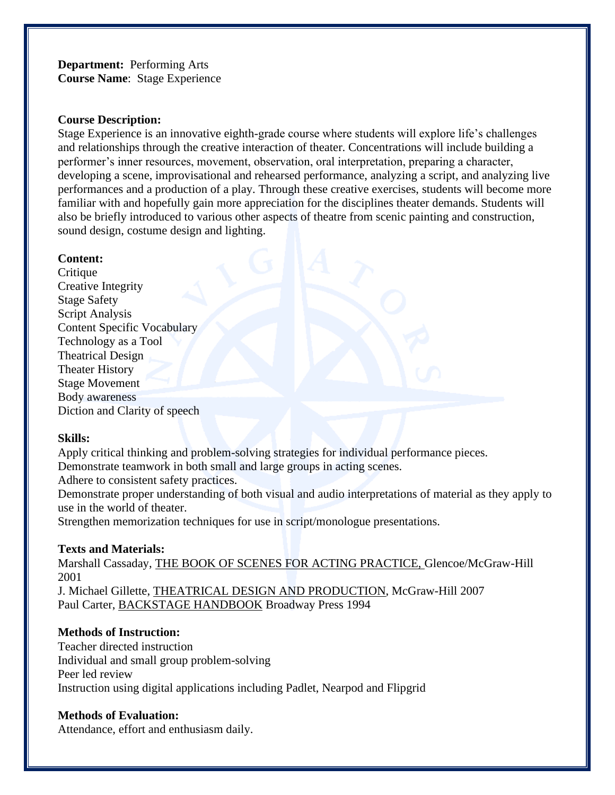**Department:** Performing Arts **Course Name**:Stage Experience

### **Course Description:**

Stage Experience is an innovative eighth-grade course where students will explore life's challenges and relationships through the creative interaction of theater. Concentrations will include building a performer's inner resources, movement, observation, oral interpretation, preparing a character, developing a scene, improvisational and rehearsed performance, analyzing a script, and analyzing live performances and a production of a play. Through these creative exercises, students will become more familiar with and hopefully gain more appreciation for the disciplines theater demands. Students will also be briefly introduced to various other aspects of theatre from scenic painting and construction, sound design, costume design and lighting.

### **Content:**

Critique Creative Integrity Stage Safety Script Analysis Content Specific Vocabulary Technology as a Tool Theatrical Design Theater History Stage Movement Body awareness Diction and Clarity of speech

### **Skills:**

Apply critical thinking and problem-solving strategies for individual performance pieces. Demonstrate teamwork in both small and large groups in acting scenes. Adhere to consistent safety practices. Demonstrate proper understanding of both visual and audio interpretations of material as they apply to use in the world of theater. Strengthen memorization techniques for use in script/monologue presentations.

# **Texts and Materials:**

Marshall Cassaday, THE BOOK OF SCENES FOR ACTING PRACTICE, Glencoe/McGraw-Hill 2001

J. Michael Gillette, THEATRICAL DESIGN AND PRODUCTION, McGraw-Hill 2007 Paul Carter, BACKSTAGE HANDBOOK Broadway Press 1994

# **Methods of Instruction:**

Teacher directed instruction Individual and small group problem-solving Peer led review Instruction using digital applications including Padlet, Nearpod and Flipgrid

# **Methods of Evaluation:**

Attendance, effort and enthusiasm daily.